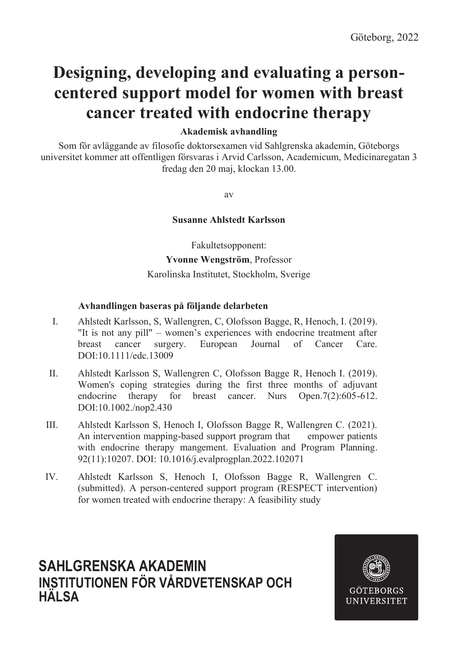## **Designing, developing and evaluating a personcentered support model for women with breast cancer treated with endocrine therapy**

## **Akademisk avhandling**

Som för avläggande av filosofie doktorsexamen vid Sahlgrenska akademin, Göteborgs universitet kommer att offentligen försvaras i Arvid Carlsson, Academicum, Medicinaregatan 3 fredag den 20 maj, klockan 13.00.

av

## **Susanne Ahlstedt Karlsson**

Fakultetsopponent: **Yvonne Wengström**, Professor Karolinska Institutet, Stockholm, Sverige

#### **Avhandlingen baseras på följande delarbeten**

- I. Ahlstedt Karlsson, S, Wallengren, C, Olofsson Bagge, R, Henoch, I. (2019). "It is not any pill" – women's experiences with endocrine treatment after breast cancer surgery. European Journal of Cancer Care. DOI:10.1111/edc.13009
- II. Ahlstedt Karlsson S, Wallengren C, Olofsson Bagge R, Henoch I. (2019). Women's coping strategies during the first three months of adjuvant endocrine therapy for breast cancer. Nurs Open. 7(2):605-612. DOI:10.1002./nop2.430
- III. Ahlstedt Karlsson S, Henoch I, Olofsson Bagge R, Wallengren C. (2021). An intervention mapping-based support program that empower patients with endocrine therapy mangement. Evaluation and Program Planning. 92(11):10207. DOI: 10.1016/j.evalprogplan.2022.102071
- IV. Ahlstedt Karlsson S, Henoch I, Olofsson Bagge R, Wallengren C. (submitted). A person-centered support program (RESPECT intervention) for women treated with endocrine therapy: A feasibility study

## **SAHLGRENSKA AKADEMIN INSTITUTIONEN FÖR VÅRDVETENSKAP OCH HÄLSA**